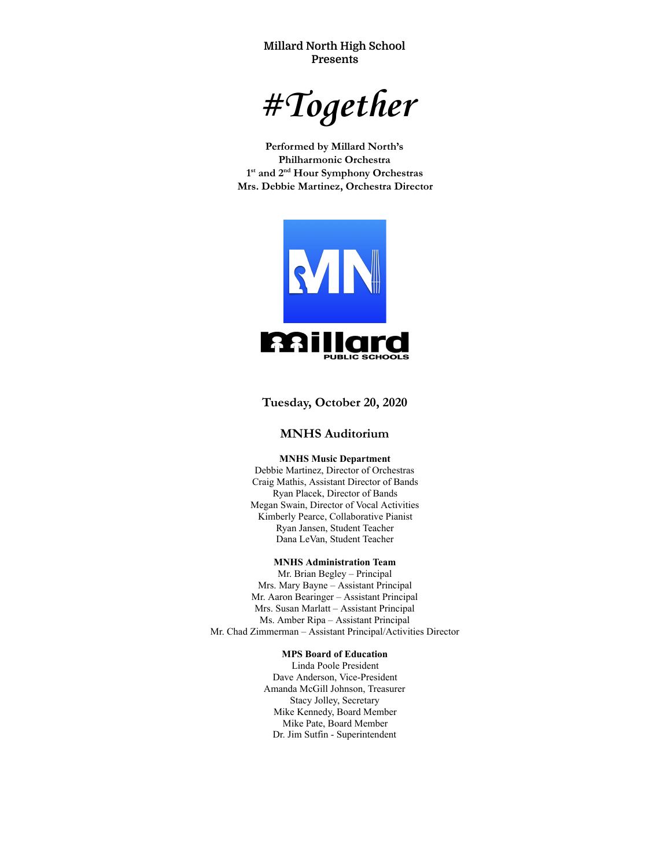**Millard North High School Presents**

*#Together* 

**Performed by Millard North's Philharmonic Orchestra 1 st and 2 nd Hour Symphony Orchestras Mrs. Debbie Martinez, Orchestra Director**



**Tuesday, October 20, 2020** 

# **MNHS Auditorium**

#### **MNHS Music Department**

Debbie Martinez, Director of Orchestras Craig Mathis, Assistant Director of Bands Ryan Placek, Director of Bands Megan Swain, Director of Vocal Activities Kimberly Pearce, Collaborative Pianist Ryan Jansen, Student Teacher Dana LeVan, Student Teacher

### **MNHS Administration Team**

Mr. Brian Begley – Principal Mrs. Mary Bayne – Assistant Principal Mr. Aaron Bearinger – Assistant Principal Mrs. Susan Marlatt – Assistant Principal Ms. Amber Ripa – Assistant Principal Mr. Chad Zimmerman – Assistant Principal/Activities Director

#### **MPS Board of Education**

Linda Poole President Dave Anderson, Vice-President Amanda McGill Johnson, Treasurer Stacy Jolley, Secretary Mike Kennedy, Board Member Mike Pate, Board Member Dr. Jim Sutfin - Superintendent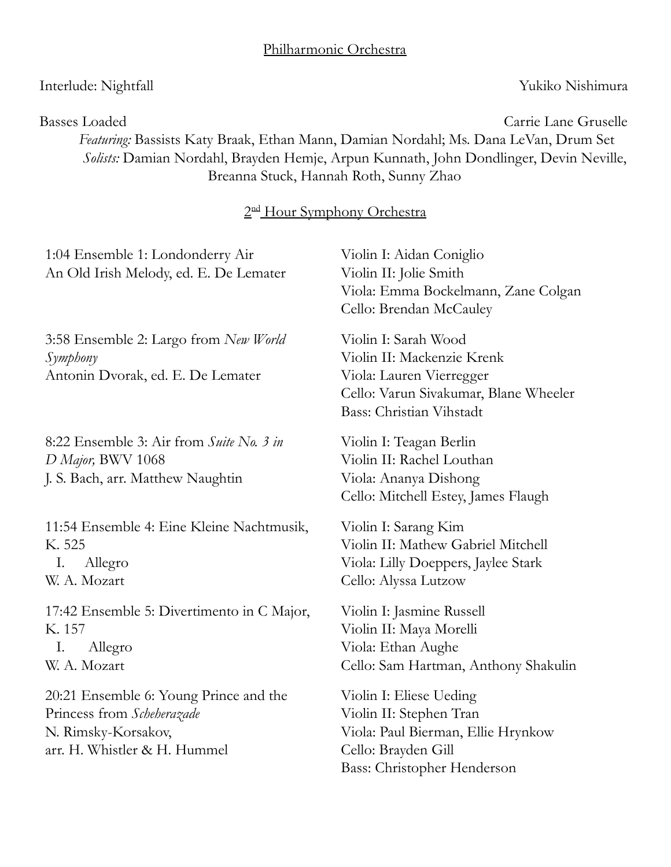# Interlude: Nightfall Yukiko Nishimura

Basses Loaded Carrie Lane Gruselle *Featuring:* Bassists Katy Braak, Ethan Mann, Damian Nordahl; Ms. Dana LeVan, Drum Set *Solists:* Damian Nordahl, Brayden Hemje, Arpun Kunnath, John Dondlinger, Devin Neville, Breanna Stuck, Hannah Roth, Sunny Zhao

# 2<sup>nd</sup> Hour Symphony Orchestra

| 1:04 Ensemble 1: Londonderry Air<br>An Old Irish Melody, ed. E. De Lemater                                                  | Violin I: Aidan Coniglio<br>Violin II: Jolie Smith<br>Viola: Emma Bockelmann, Zane Colgan<br>Cello: Brendan McCauley                                |  |
|-----------------------------------------------------------------------------------------------------------------------------|-----------------------------------------------------------------------------------------------------------------------------------------------------|--|
| 3:58 Ensemble 2: Largo from New World<br>Symphony<br>Antonin Dvorak, ed. E. De Lemater                                      | Violin I: Sarah Wood<br>Violin II: Mackenzie Krenk<br>Viola: Lauren Vierregger<br>Cello: Varun Sivakumar, Blane Wheeler<br>Bass: Christian Vihstadt |  |
| 8:22 Ensemble 3: Air from Suite No. 3 in<br>D Major, BWV 1068<br>J. S. Bach, arr. Matthew Naughtin                          | Violin I: Teagan Berlin<br>Violin II: Rachel Louthan<br>Viola: Ananya Dishong<br>Cello: Mitchell Estey, James Flaugh                                |  |
| 11:54 Ensemble 4: Eine Kleine Nachtmusik,<br>K. 525<br>Ι.<br>Allegro<br>W. A. Mozart                                        | Violin I: Sarang Kim<br>Violin II: Mathew Gabriel Mitchell<br>Viola: Lilly Doeppers, Jaylee Stark<br>Cello: Alyssa Lutzow                           |  |
| 17:42 Ensemble 5: Divertimento in C Major,<br>K. 157<br>I.<br>Allegro<br>W. A. Mozart                                       | Violin I: Jasmine Russell<br>Violin II: Maya Morelli<br>Viola: Ethan Aughe<br>Cello: Sam Hartman, Anthony Shakulin                                  |  |
| 20:21 Ensemble 6: Young Prince and the<br>Princess from Scheherazade<br>N. Rimsky-Korsakov,<br>arr. H. Whistler & H. Hummel | Violin I: Eliese Ueding<br>Violin II: Stephen Tran<br>Viola: Paul Bierman, Ellie Hrynkow<br>Cello: Brayden Gill<br>Bass: Christopher Henderson      |  |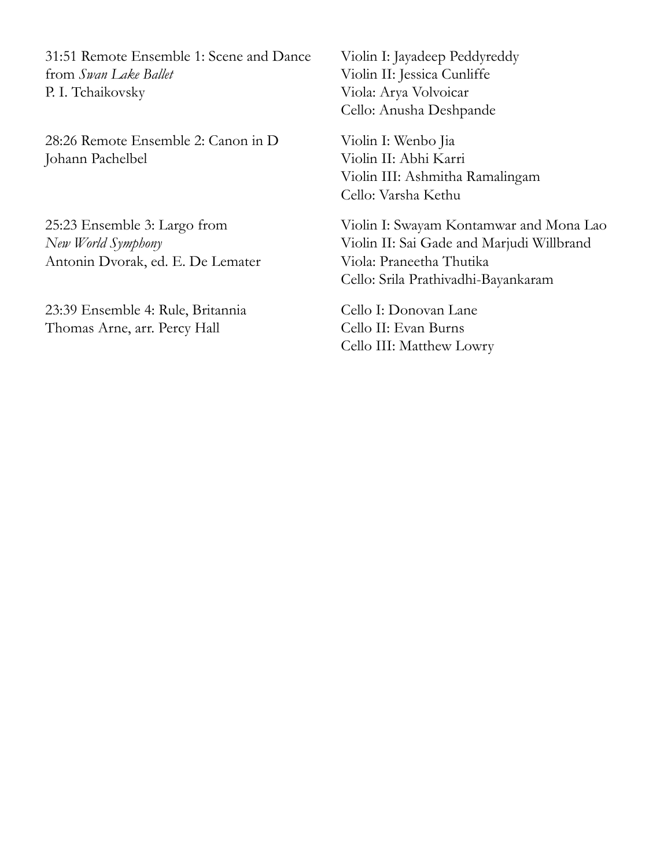31:51 Remote Ensemble 1: Scene and Dance from *Swan Lake Ballet* P. I. Tchaikovsky

28:26 Remote Ensemble 2: Canon in D Johann Pachelbel

25:23 Ensemble 3: Largo from *New World Symphony* Antonin Dvorak, ed. E. De Lemater

23:39 Ensemble 4: Rule, Britannia Thomas Arne, arr. Percy Hall

Violin I: Jayadeep Peddyreddy Violin II: Jessica Cunliffe Viola: Arya Volvoicar Cello: Anusha Deshpande

Violin I: Wenbo Jia Violin II: Abhi Karri Violin III: Ashmitha Ramalingam Cello: Varsha Kethu

Violin I: Swayam Kontamwar and Mona Lao Violin II: Sai Gade and Marjudi Willbrand Viola: Praneetha Thutika Cello: Srila Prathivadhi-Bayankaram

Cello I: Donovan Lane Cello II: Evan Burns Cello III: Matthew Lowry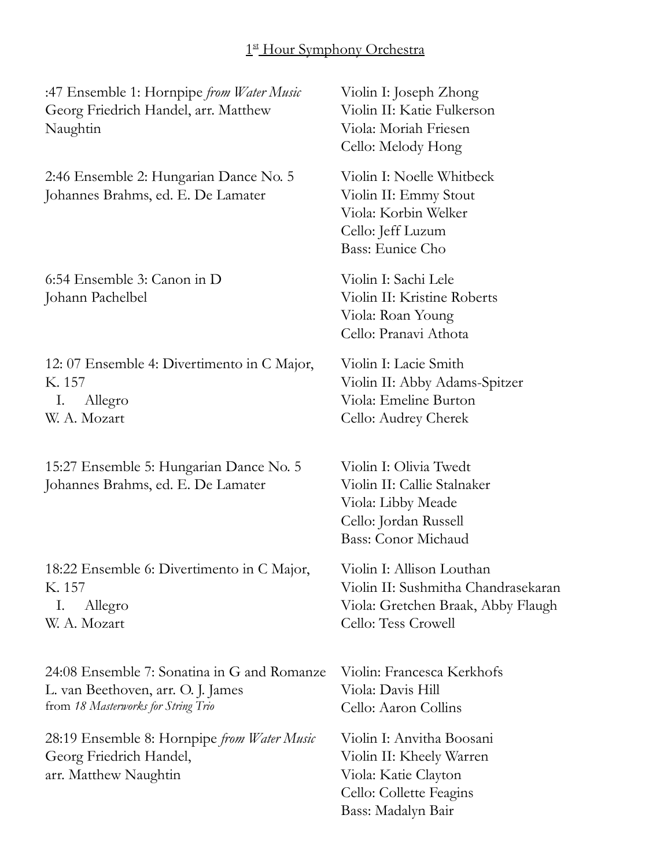# 1st Hour Symphony Orchestra

:47 Ensemble 1: Hornpipe *from Water Music* Georg Friedrich Handel, arr. Matthew Naughtin

2:46 Ensemble 2: Hungarian Dance No. 5 Johannes Brahms, ed. E. De Lamater

6:54 Ensemble 3: Canon in D Johann Pachelbel

12: 07 Ensemble 4: Divertimento in C Major, K. 157 I. Allegro W. A. Mozart

15:27 Ensemble 5: Hungarian Dance No. 5 Johannes Brahms, ed. E. De Lamater

18:22 Ensemble 6: Divertimento in C Major, K. 157 I. Allegro W. A. Mozart

24:08 Ensemble 7: Sonatina in G and Romanze L. van Beethoven, arr. O. J. James from *18 Masterworks for String Trio* 

28:19 Ensemble 8: Hornpipe *from Water Music* Georg Friedrich Handel, arr. Matthew Naughtin

Violin I: Joseph Zhong Violin II: Katie Fulkerson Viola: Moriah Friesen Cello: Melody Hong

Violin I: Noelle Whitbeck Violin II: Emmy Stout Viola: Korbin Welker Cello: Jeff Luzum Bass: Eunice Cho

Violin I: Sachi Lele Violin II: Kristine Roberts Viola: Roan Young Cello: Pranavi Athota

Violin I: Lacie Smith Violin II: Abby Adams-Spitzer Viola: Emeline Burton Cello: Audrey Cherek

Violin I: Olivia Twedt Violin II: Callie Stalnaker Viola: Libby Meade Cello: Jordan Russell Bass: Conor Michaud

Violin I: Allison Louthan Violin II: Sushmitha Chandrasekaran Viola: Gretchen Braak, Abby Flaugh Cello: Tess Crowell

Violin: Francesca Kerkhofs Viola: Davis Hill Cello: Aaron Collins

Violin I: Anvitha Boosani Violin II: Kheely Warren Viola: Katie Clayton Cello: Collette Feagins Bass: Madalyn Bair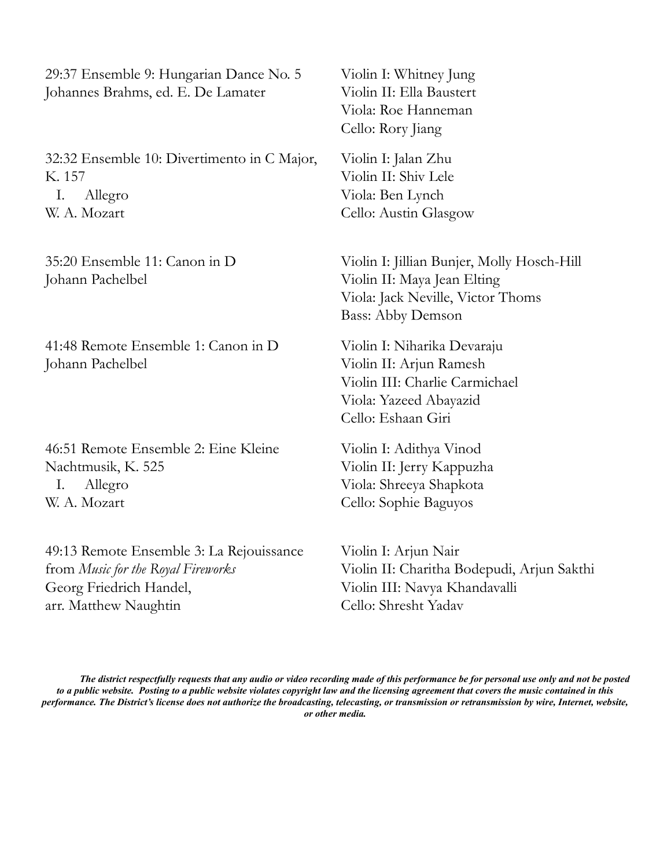29:37 Ensemble 9: Hungarian Dance No. 5 Johannes Brahms, ed. E. De Lamater

32:32 Ensemble 10: Divertimento in C Major, K. 157 I. Allegro W. A. Mozart

35:20 Ensemble 11: Canon in D Johann Pachelbel

41:48 Remote Ensemble 1: Canon in D Johann Pachelbel

46:51 Remote Ensemble 2: Eine Kleine Nachtmusik, K. 525 I. Allegro W. A. Mozart

49:13 Remote Ensemble 3: La Rejouissance from *Music for the Royal Fireworks* Georg Friedrich Handel, arr. Matthew Naughtin

Violin I: Whitney Jung Violin II: Ella Baustert Viola: Roe Hanneman Cello: Rory Jiang

Violin I: Jalan Zhu Violin II: Shiv Lele Viola: Ben Lynch Cello: Austin Glasgow

Violin I: Jillian Bunjer, Molly Hosch-Hill Violin II: Maya Jean Elting Viola: Jack Neville, Victor Thoms Bass: Abby Demson

Violin I: Niharika Devaraju Violin II: Arjun Ramesh Violin III: Charlie Carmichael Viola: Yazeed Abayazid Cello: Eshaan Giri

Violin I: Adithya Vinod Violin II: Jerry Kappuzha Viola: Shreeya Shapkota Cello: Sophie Baguyos

Violin I: Arjun Nair Violin II: Charitha Bodepudi, Arjun Sakthi Violin III: Navya Khandavalli Cello: Shresht Yadav

*The district respectfully requests that any audio or video recording made of this performance be for personal use only and not be posted to a public website. Posting to a public website violates copyright law and the licensing agreement that covers the music contained in this performance. The District's license does not authorize the broadcasting, telecasting, or transmission or retransmission by wire, Internet, website, or other media.*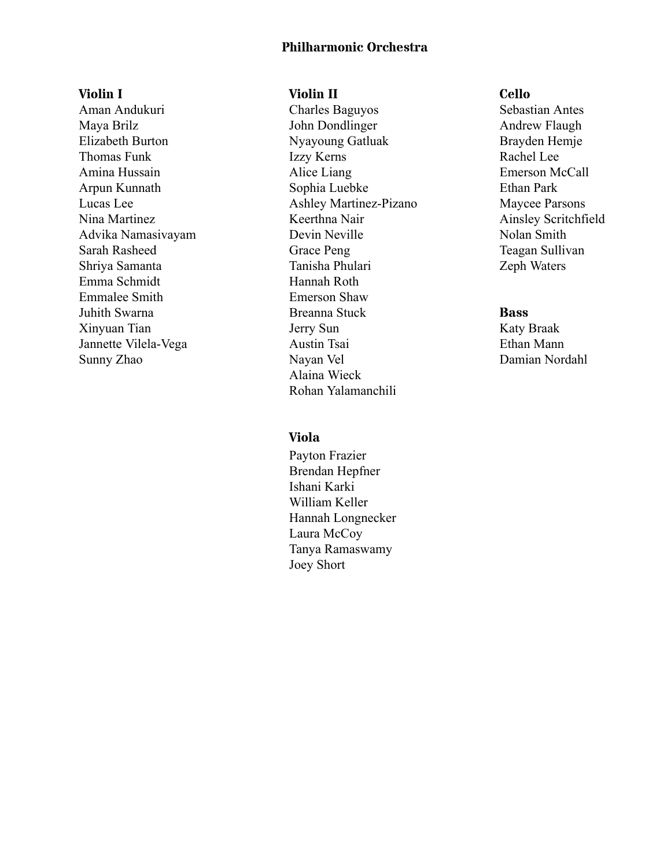# **Philharmonic Orchestra**

**Violin I**  Aman Andukuri Maya Brilz Elizabeth Burton Thomas Funk Amina Hussain Arpun Kunnath Lucas Lee Nina Martinez Advika Namasivayam Sarah Rasheed Shriya Samanta Emma Schmidt Emmalee Smith Juhith Swarna Xinyuan Tian Jannette Vilela-Vega Sunny Zhao

## **Violin II**

Charles Baguyos John Dondlinger Nyayoung Gatluak Izzy Kerns Alice Liang Sophia Luebke Ashley Martinez-Pizano Keerthna Nair Devin Neville Grace Peng Tanisha Phulari Hannah Roth Emerson Shaw Breanna Stuck Jerry Sun Austin Tsai Nayan Vel Alaina Wieck Rohan Yalamanchili

# **Viola**

Payton Frazier Brendan Hepfner Ishani Karki William Keller Hannah Longnecker Laura McCoy Tanya Ramaswamy Joey Short

## **Cello**

Sebastian Antes Andrew Flaugh Brayden Hemje Rachel Lee Emerson McCall Ethan Park Maycee Parsons Ainsley Scritchfield Nolan Smith Teagan Sullivan Zeph Waters

## **Bass**

Katy Braak Ethan Mann Damian Nordahl